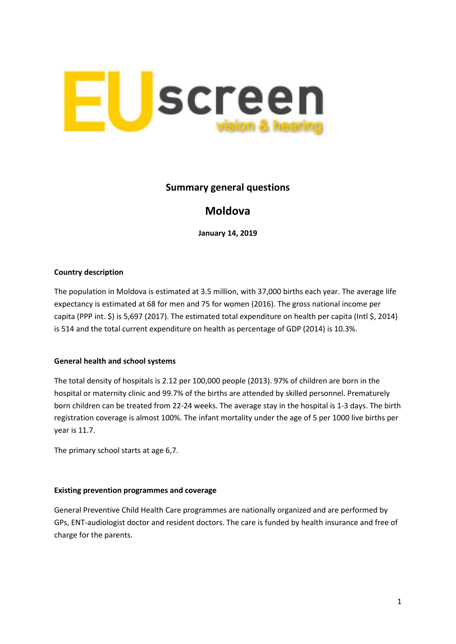

## **Summary general questions**

# **Moldova**

**January 14, 2019**

### **Country description**

The population in Moldova is estimated at 3.5 million, with 37,000 births each year. The average life expectancy is estimated at 68 for men and 75 for women (2016). The gross national income per capita (PPP int. \$) is 5,697 (2017). The estimated total expenditure on health per capita (Intl \$, 2014) is 514 and the total current expenditure on health as percentage of GDP (2014) is 10.3%.

#### **General health and school systems**

The total density of hospitals is 2.12 per 100,000 people (2013). 97% of children are born in the hospital or maternity clinic and 99.7% of the births are attended by skilled personnel. Prematurely born children can be treated from 22-24 weeks. The average stay in the hospital is 1-3 days. The birth registration coverage is almost 100%. The infant mortality under the age of 5 per 1000 live births per year is 11.7.

The primary school starts at age 6,7.

#### **Existing prevention programmes and coverage**

General Preventive Child Health Care programmes are nationally organized and are performed by GPs, ENT-audiologist doctor and resident doctors. The care is funded by health insurance and free of charge for the parents.